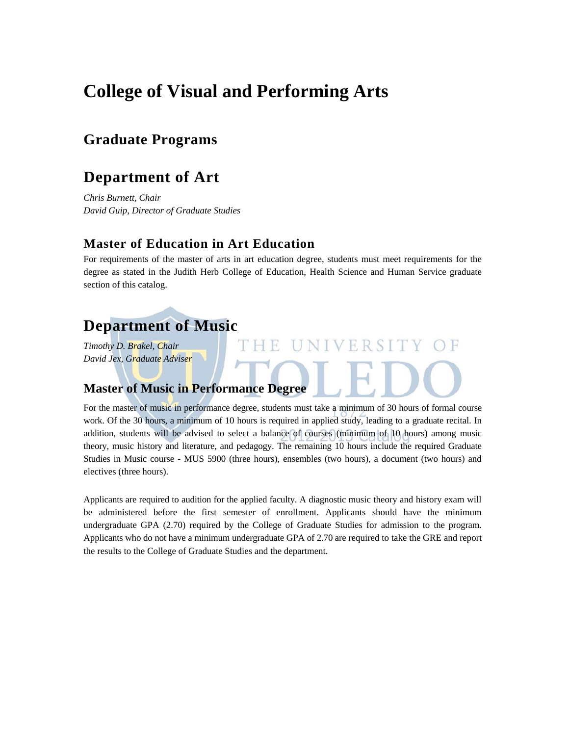# **College of Visual and Performing Arts**

## **Graduate Programs**

## **Department of Art**

*Chris Burnett, Chair David Guip, Director of Graduate Studies* 

### **Master of Education in Art Education**

For requirements of the master of arts in art education degree, students must meet requirements for the degree as stated in the Judith Herb College of Education, Health Science and Human Service graduate section of this catalog.

## **Department of Music**

*Timothy D. Brakel, Chair David Jex, Graduate Adviser* 

## **Master of Music in Performance Degree**

For the master of music in performance degree, students must take a minimum of 30 hours of formal course work. Of the 30 hours, a minimum of 10 hours is required in applied study, leading to a graduate recital. In addition, students will be advised to select a balance of courses (minimum of 10 hours) among music theory, music history and literature, and pedagogy. The remaining 10 hours include the required Graduate Studies in Music course - MUS 5900 (three hours), ensembles (two hours), a document (two hours) and electives (three hours).

Applicants are required to audition for the applied faculty. A diagnostic music theory and history exam will be administered before the first semester of enrollment. Applicants should have the minimum undergraduate GPA (2.70) required by the College of Graduate Studies for admission to the program. Applicants who do not have a minimum undergraduate GPA of 2.70 are required to take the GRE and report the results to the College of Graduate Studies and the department.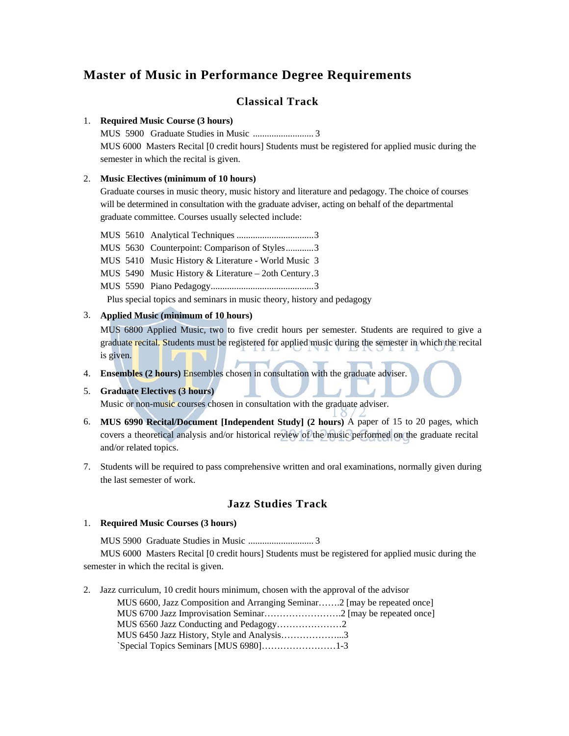## **Master of Music in Performance Degree Requirements**

### **Classical Track**

#### 1. **Required Music Course (3 hours)**

MUS 5900 Graduate Studies in Music .......................... 3 MUS 6000 Masters Recital [0 credit hours] Students must be registered for applied music during the semester in which the recital is given.

#### 2. **Music Electives (minimum of 10 hours)**

Graduate courses in music theory, music history and literature and pedagogy. The choice of courses will be determined in consultation with the graduate adviser, acting on behalf of the departmental graduate committee. Courses usually selected include:

- MUS 5610 Analytical Techniques ................................. 3
- MUS 5630 Counterpoint: Comparison of Styles ............ 3

MUS 5410 Music History & Literature - World Music 3

- MUS 5490 Music History & Literature 2oth Century . 3
- MUS 5590 Piano Pedagogy ............................................ 3

Plus special topics and seminars in music theory, history and pedagogy

#### 3. **Applied Music (minimum of 10 hours)**

MUS 6800 Applied Music, two to five credit hours per semester. Students are required to give a graduate recital. Students must be registered for applied music during the semester in which the recital is given.

4. **Ensembles (2 hours)** Ensembles chosen in consultation with the graduate adviser.

#### 5. **Graduate Electives (3 hours)**

Music or non-music courses chosen in consultation with the graduate adviser.

- 6. **MUS 6990 Recital/Document [Independent Study] (2 hours)** A paper of 15 to 20 pages, which covers a theoretical analysis and/or historical review of the music performed on the graduate recital and/or related topics.
- 7. Students will be required to pass comprehensive written and oral examinations, normally given during the last semester of work.

### **Jazz Studies Track**

#### 1. **Required Music Courses (3 hours)**

MUS 5900 Graduate Studies in Music ............................ 3

MUS 6000 Masters Recital [0 credit hours] Students must be registered for applied music during the semester in which the recital is given.

2. Jazz curriculum, 10 credit hours minimum, chosen with the approval of the advisor MUS 6600, Jazz Composition and Arranging Seminar…….2 [may be repeated once] MUS 6700 Jazz Improvisation Seminar…………………….2 [may be repeated once] MUS 6560 Jazz Conducting and Pedagogy…………………2 MUS 6450 Jazz History, Style and Analysis………………...3 `Special Topics Seminars [MUS 6980]……………………1-3